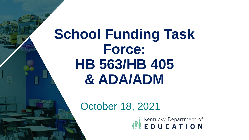# **School Funding Task Force: HB 563/HB 405 & ADA/ADM**

#### October 18, 2021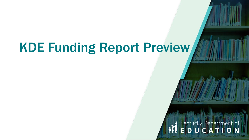## KDE Funding Report Preview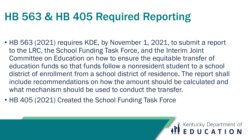#### HB 563 & HB 405 Required Reporting

• HB 563 (2021) requires KDE, by November 1, 2021, to submit a report to the LRC, the School Funding Task Force, and the Interim Joint Committee on Education on how to ensure the equitable transfer of education funds so that funds follow a nonresident student to a school district of enrollment from a school district of residence. The report shall include recommendations on how the amount should be calculated and what mechanism should be used to conduct the transfer.

Kentucky Department of

• HB 405 (2021) Created the School Funding Task Force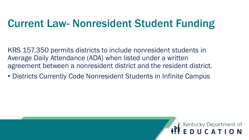#### Current Law- Nonresident Student Funding

KRS 157.350 permits districts to include nonresident students in Average Daily Attendance (ADA) when listed under a written agreement between a nonresident district and the resident district.

• Districts Currently Code Nonresident Students in Infinite Campus

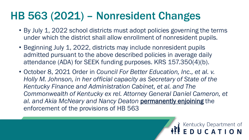#### HB 563 (2021) – Nonresident Changes

- By July 1, 2022 school districts must adopt policies governing the terms under which the district shall allow enrollment of nonresident pupils.
- Beginning July 1, 2022, districts may include nonresident pupils admitted pursuant to the above described policies in average daily attendance (ADA) for SEEK funding purposes. KRS 157.350(4)(b).
- October 8, 2021 Order in *Council For Better Education, Inc., et al. v. Holly M. Johnson, in her official capacity as Secretary of State of the Kentucky Finance and Administration Cabinet, et al. and The*  **Commonwealth of Kentucky ex rel. Attorney General Daniel Cameron, et** *al. and Akia McNeary and Nancy Deaton* permanently enjoining the enforcement of the provisions of HB 563

**EDUCATION**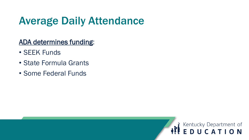### Average Daily Attendance

#### ADA determines funding:

- SEEK Funds
- State Formula Grants
- Some Federal Funds

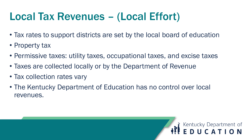#### Local Tax Revenues – (Local Effort)

- Tax rates to support districts are set by the local board of education
- Property tax
- Permissive taxes: utility taxes, occupational taxes, and excise taxes
- Taxes are collected locally or by the Department of Revenue
- Tax collection rates vary
- The Kentucky Department of Education has no control over local revenues.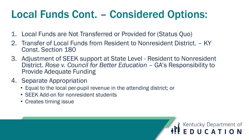#### Local Funds Cont. – Considered Options:

- 1. Local Funds are Not Transferred or Provided for (Status Quo)
- 2. Transfer of Local Funds from Resident to Nonresident District. KY Const. Section 180
- 3. Adjustment of SEEK support at State Level Resident to Nonresident District. *Rose v. Council for Better Education - GA's Responsibility to* Provide Adequate Funding

Kentucky Department of<br>**EDUCATION** 

- 4. Separate Appropriation
	- Equal to the local per-pupil revenue in the attending district; or
	- SEEK Add-on for nonresident students
	- Creates timing issue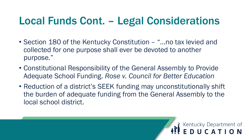#### Local Funds Cont. – Legal Considerations

- Section 180 of the Kentucky Constitution "...no tax levied and collected for one purpose shall ever be devoted to another purpose."
- Constitutional Responsibility of the General Assembly to Provide Adequate School Funding. *Rose v. Council for Better Education*
- Reduction of a district's SEEK funding may unconstitutionally shift the burden of adequate funding from the General Assembly to the local school district.

**WEDUCATION**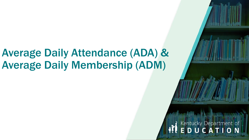#### Average Daily Attendance (ADA) & Average Daily Membership (ADM)

# Kentucky Department of<br>**EDUCATION**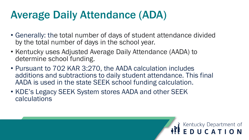#### Average Daily Attendance (ADA)

- Generally: the total number of days of student attendance divided by the total number of days in the school year.
- Kentucky uses Adjusted Average Daily Attendance (AADA) to determine school funding.
- Pursuant to 702 KAR 3:270, the AADA calculation includes additions and subtractions to daily student attendance. This final AADA is used in the state SEEK school funding calculation.

Kentucky Department of<br>**EDUCATION** 

• KDE's Legacy SEEK System stores AADA and other SEEK calculations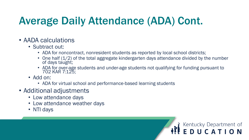### Average Daily Attendance (ADA) Cont.

- AADA calculations
	- Subtract out:
		- ADA for noncontract, nonresident students as reported by local school districts;
		- One half (1/2) of the total aggregate kindergarten days attendance divided by the number of days taught;

**REEDUCATION** 

- ADA for over-age students and under-age students not qualifying for funding pursuant to 702 KAR 7:125;
- Add on:
	- ADA for virtual school and performance-based learning students
- Additional adjustments
	- Low attendance days
	- Low attendance weather days
	- NTI days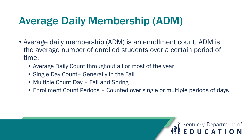#### Average Daily Membership (ADM)

- Average daily membership (ADM) is an enrollment count. ADM is the average number of enrolled students over a certain period of time.
	- Average Daily Count throughout all or most of the year
	- Single Day Count- Generally in the Fall
	- Multiple Count Day Fall and Spring
	- Enrollment Count Periods Counted over single or multiple periods of days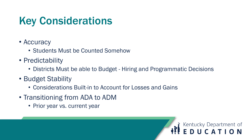#### Key Considerations

- Accuracy
	- Students Must be Counted Somehow
- Predictability
	- Districts Must be able to Budget Hiring and Programmatic Decisions

Kentucky Department of<br>**EDUCATION** 

- Budget Stability
	- Considerations Built-in to Account for Losses and Gains
- Transitioning from ADA to ADM
	- Prior year vs. current year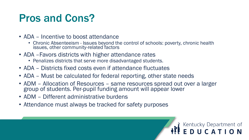#### Pros and Cons?

- ADA Incentive to boost attendance
	- Chronic Absenteeism Issues beyond the control of schools: poverty, chronic health issues, other community-related factors
- ADA Favors districts with higher attendance rates
	- Penalizes districts that serve more disadvantaged students.
- ADA Districts fixed costs even if attendance fluctuates
- ADA Must be calculated for federal reporting, other state needs
- ADM Allocation of Resources same resources spread out over a larger group of students. Per-pupil funding amount will appear lower

**EDUCATION** 

- ADM Different administrative burdens
- Attendance must always be tracked for safety purposes